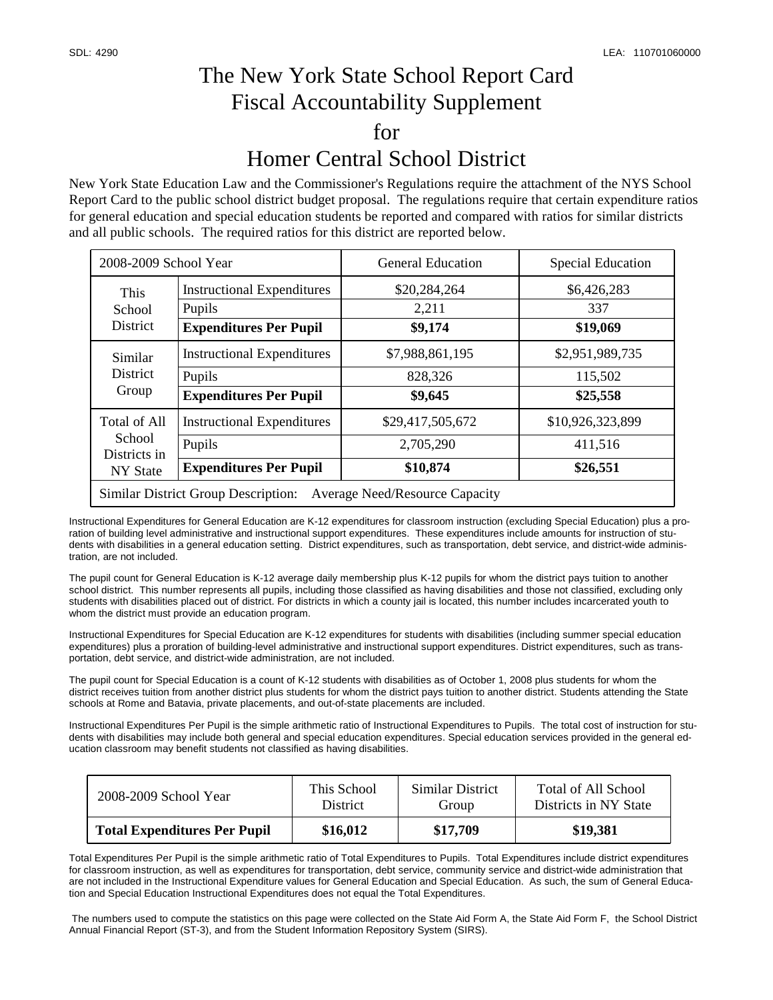## The New York State School Report Card Fiscal Accountability Supplement for Homer Central School District

New York State Education Law and the Commissioner's Regulations require the attachment of the NYS School Report Card to the public school district budget proposal. The regulations require that certain expenditure ratios for general education and special education students be reported and compared with ratios for similar districts and all public schools. The required ratios for this district are reported below.

| 2008-2009 School Year                                                               |                                             | <b>General Education</b> | <b>Special Education</b> |  |  |  |
|-------------------------------------------------------------------------------------|---------------------------------------------|--------------------------|--------------------------|--|--|--|
| This<br>School<br><b>District</b>                                                   | <b>Instructional Expenditures</b><br>Pupils | \$20,284,264<br>2,211    | \$6,426,283<br>337       |  |  |  |
|                                                                                     | <b>Expenditures Per Pupil</b>               | \$9,174                  | \$19,069                 |  |  |  |
| Similar<br><b>District</b><br>Group                                                 | <b>Instructional Expenditures</b>           | \$7,988,861,195          | \$2,951,989,735          |  |  |  |
|                                                                                     | Pupils                                      | 828,326                  | 115,502                  |  |  |  |
|                                                                                     | <b>Expenditures Per Pupil</b>               | \$9,645                  | \$25,558                 |  |  |  |
| <b>Total of All</b><br>School<br>Districts in<br>NY State                           | <b>Instructional Expenditures</b>           | \$29,417,505,672         | \$10,926,323,899         |  |  |  |
|                                                                                     | Pupils                                      | 2,705,290                | 411,516                  |  |  |  |
|                                                                                     | <b>Expenditures Per Pupil</b>               | \$10,874                 | \$26,551                 |  |  |  |
| <b>Similar District Group Description:</b><br><b>Average Need/Resource Capacity</b> |                                             |                          |                          |  |  |  |

Instructional Expenditures for General Education are K-12 expenditures for classroom instruction (excluding Special Education) plus a proration of building level administrative and instructional support expenditures. These expenditures include amounts for instruction of students with disabilities in a general education setting. District expenditures, such as transportation, debt service, and district-wide administration, are not included.

The pupil count for General Education is K-12 average daily membership plus K-12 pupils for whom the district pays tuition to another school district. This number represents all pupils, including those classified as having disabilities and those not classified, excluding only students with disabilities placed out of district. For districts in which a county jail is located, this number includes incarcerated youth to whom the district must provide an education program.

Instructional Expenditures for Special Education are K-12 expenditures for students with disabilities (including summer special education expenditures) plus a proration of building-level administrative and instructional support expenditures. District expenditures, such as transportation, debt service, and district-wide administration, are not included.

The pupil count for Special Education is a count of K-12 students with disabilities as of October 1, 2008 plus students for whom the district receives tuition from another district plus students for whom the district pays tuition to another district. Students attending the State schools at Rome and Batavia, private placements, and out-of-state placements are included.

Instructional Expenditures Per Pupil is the simple arithmetic ratio of Instructional Expenditures to Pupils. The total cost of instruction for students with disabilities may include both general and special education expenditures. Special education services provided in the general education classroom may benefit students not classified as having disabilities.

| 2008-2009 School Year               | This School     | Similar District | Total of All School   |
|-------------------------------------|-----------------|------------------|-----------------------|
|                                     | <b>District</b> | Group            | Districts in NY State |
| <b>Total Expenditures Per Pupil</b> | \$16,012        | \$17,709         | \$19,381              |

Total Expenditures Per Pupil is the simple arithmetic ratio of Total Expenditures to Pupils. Total Expenditures include district expenditures for classroom instruction, as well as expenditures for transportation, debt service, community service and district-wide administration that are not included in the Instructional Expenditure values for General Education and Special Education. As such, the sum of General Education and Special Education Instructional Expenditures does not equal the Total Expenditures.

 The numbers used to compute the statistics on this page were collected on the State Aid Form A, the State Aid Form F, the School District Annual Financial Report (ST-3), and from the Student Information Repository System (SIRS).